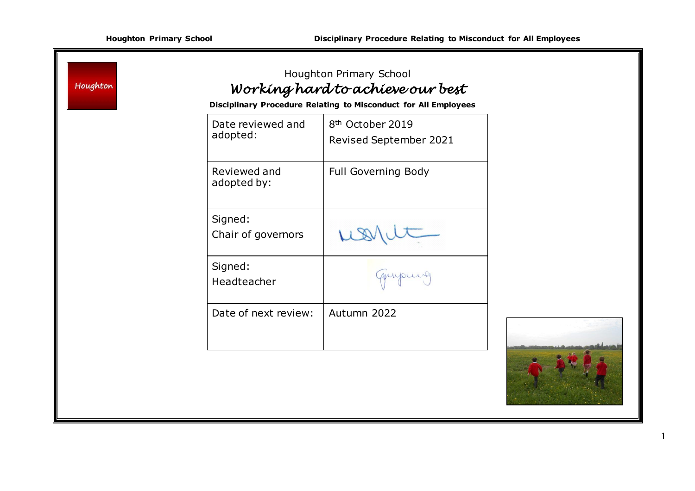| Houghton |                               | Houghton Primary School<br>Working hard to achieve our best<br>Disciplinary Procedure Relating to Misconduct for All Employees |  |
|----------|-------------------------------|--------------------------------------------------------------------------------------------------------------------------------|--|
|          | Date reviewed and<br>adopted: | 8 <sup>th</sup> October 2019<br>Revised September 2021                                                                         |  |
|          | Reviewed and<br>adopted by:   | Full Governing Body                                                                                                            |  |
|          | Signed:<br>Chair of governors |                                                                                                                                |  |
|          | Signed:<br>Headteacher        | quipuis                                                                                                                        |  |
|          | Date of next review:          | Autumn 2022                                                                                                                    |  |
|          |                               |                                                                                                                                |  |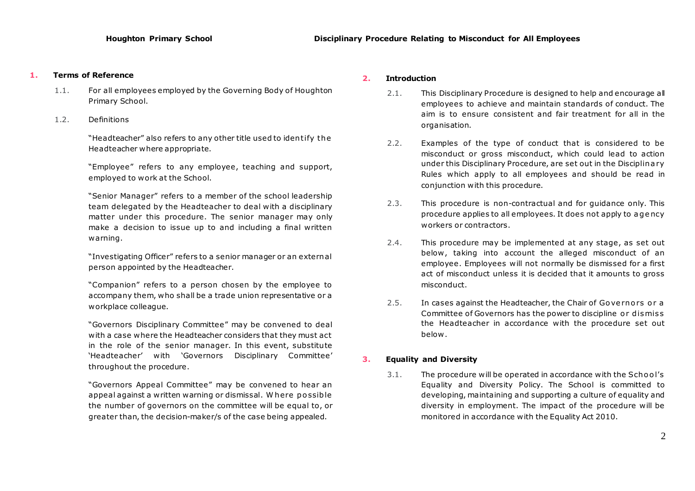## **1. Terms of Reference**

- 1.1. For all employees employed by the Governing Body of Houghton Primary School.
- 1.2. Definitions

"Headteacher" also refers to any other title used to iden tify the Headteacher where appropriate.

"Employee" refers to any employee, teaching and support, employed to work at the School.

"Senior Manager" refers to a member of the school leadership team delegated by the Headteacher to deal with a disciplinary matter under this procedure. The senior manager may only make a decision to issue up to and including a final written warning.

"Investigating Officer" refers to a senior manager or an external person appointed by the Headteacher.

"Companion" refers to a person chosen by the employee to accompany them, who shall be a trade union representative or a workplace colleague.

"Governors Disciplinary Committee" may be convened to deal with a case where the Headteacher considers that they must act in the role of the senior manager. In this event, substitute 'Headteacher' with 'Governors Disciplinary Committee' throughout the procedure.

"Governors Appeal Committee" may be convened to hear an appeal against a written warning or dismissal. Where possible the number of governors on the committee will be equal to, or greater than, the decision-maker/s of the case being appealed.

## **2. Introduction**

- 2.1. This Disciplinary Procedure is designed to help and encourage all employees to achieve and maintain standards of conduct. The aim is to ensure consistent and fair treatment for all in the organisation.
- 2.2. Examples of the type of conduct that is considered to be misconduct or gross misconduct, which could lead to action under this Disciplinary Procedure, are set out in the Disciplina ry Rules which apply to all employees and should be read in conjunction with this procedure.
- 2.3. This procedure is non-contractual and for guidance only. This procedure applies to all employees. It does not apply to agency workers or contractors.
- 2.4. This procedure may be implemented at any stage, as set out below, taking into account the alleged misconduct of an employee. Employees will not normally be dismissed for a first act of misconduct unless it is decided that it amounts to gross misconduct.
- 2.5. In cases against the Headteacher, the Chair of Governors or a Committee of Governors has the power to discipline or dismiss the Headteacher in accordance with the procedure set out below .

## **3. Equality and Diversity**

3.1. The procedure will be operated in accordance with the School's Equality and Diversity Policy. The School is committed to developing, maintaining and supporting a culture of equality and diversity in employment. The impact of the procedure will be monitored in accordance with the Equality Act 2010.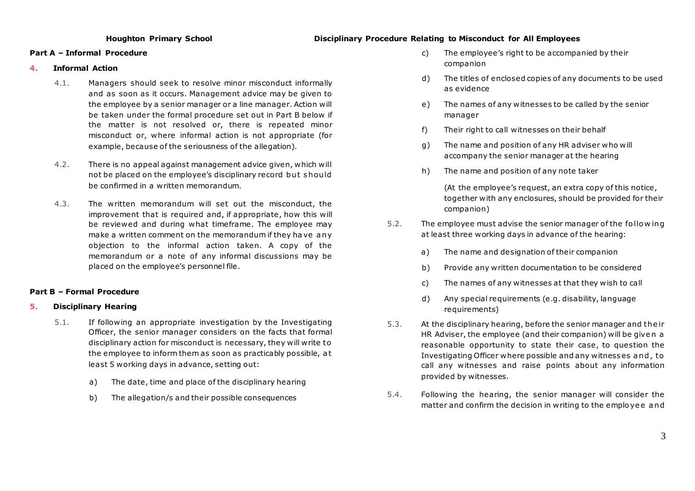## **Houghton Primary School Disciplinary Procedure Relating to Misconduct for All Employees**

### **Part A – Informal Procedure**

### **4. Informal Action**

- 4.1. Managers should seek to resolve minor misconduct informally and as soon as it occurs. Management advice may be given to the employee by a senior manager or a line manager. Action will be taken under the formal procedure set out in Part B below if the matter is not resolved or, there is repeated minor misconduct or, where informal action is not appropriate (for example, because of the seriousness of the allegation).
- 4.2. There is no appeal against management advice given, which will not be placed on the employee's disciplinary record but should be confirmed in a written memorandum.
- 4.3. The written memorandum will set out the misconduct, the improvement that is required and, if appropriate, how this will be reviewed and during what timeframe. The employee may make a written comment on the memorandum if they ha ve a ny objection to the informal action taken. A copy of the memorandum or a note of any informal discussions may be placed on the employee's personnel file.

## **Part B – Formal Procedure**

## **5. Disciplinary Hearing**

- 5.1. If following an appropriate investigation by the Investigating Officer, the senior manager considers on the facts that formal disciplinary action for misconduct is necessary, they will write to the employee to inform them as soon as practicably possible, a t least 5 working days in advance, setting out:
	- a) The date, time and place of the disciplinary hearing
	- b) The allegation/s and their possible consequences
- c) The employee's right to be accompanied by their companion
- d) The titles of enclosed copies of any documents to be used as evidence
- e) The names of any witnesses to be called by the senior manager
- f) Their right to call witnesses on their behalf
- g) The name and position of any HR adviser who will accompany the senior manager at the hearing
- h) The name and position of any note taker

(At the employee's request, an extra copy of this notice, together with any enclosures, should be provided for their companion)

- 5.2. The employee must advise the senior manager of the fo llo w ing at least three working days in advance of the hearing:
	- a) The name and designation of their companion
	- b) Provide any written documentation to be considered
	- c) The names of any witnesses at that they wish to call
	- d) Any special requirements (e.g. disability, language requirements)
- 5.3. At the disciplinary hearing, before the senior manager and the ir HR Adviser, the employee (and their companion) will be given a reasonable opportunity to state their case, to question the Investigating Officer where possible and any witness es a nd , to call any witnesses and raise points about any information provided by witnesses.
- 5.4. Following the hearing, the senior manager will consider the matter and confirm the decision in writing to the employee and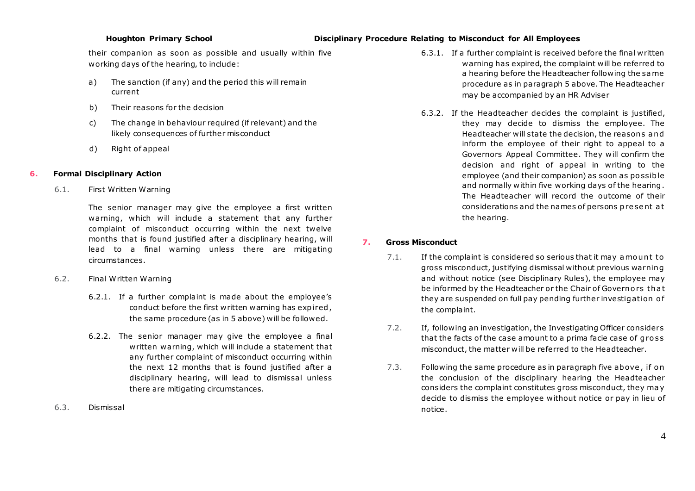## **Houghton Primary School Disciplinary Procedure Relating to Misconduct for All Employees**

their companion as soon as possible and usually within five working days of the hearing, to include:

- a) The sanction (if any) and the period this will remain current
- b) Their reasons for the decision
- c) The change in behaviour required (if relevant) and the likely consequences of further misconduct
- d) Right of appeal

## **6. Formal Disciplinary Action**

6.1. First Written Warning

The senior manager may give the employee a first written warning, which will include a statement that any further complaint of misconduct occurring within the next twelve months that is found justified after a disciplinary hearing, will lead to a final warning unless there are mitigating circumstances.

- 6.2. Final Written Warning
	- 6.2.1. If a further complaint is made about the employee's conduct before the first written warning has expired , the same procedure (as in 5 above) will be followed.
	- 6.2.2. The senior manager may give the employee a final written warning, which will include a statement that any further complaint of misconduct occurring within the next 12 months that is found justified after a disciplinary hearing, will lead to dismissal unless there are mitigating circumstances.
- 6.3. Dismissal
- 6.3.1. If a further complaint is received before the final written warning has expired, the complaint will be referred to a hearing before the Headteacher following the same procedure as in paragraph 5 above. The Headteacher may be accompanied by an HR Adviser
- 6.3.2. If the Headteacher decides the complaint is justified, they may decide to dismiss the employee. The Headteacher will state the decision, the reasons and inform the employee of their right to appeal to a Governors Appeal Committee. They will confirm the decision and right of appeal in writing to the employee (and their companion) as soon as po ssible and normally within five working days of the hearing . The Headteacher will record the outcome of their considerations and the names of persons p re se nt a t the hearing.

## **7. Gross Misconduct**

- 7.1. If the complaint is considered so serious that it may amount to gross misconduct, justifying dismissal without previous warning and without notice (see Disciplinary Rules), the employee may be informed by the Headteacher or the Chair of Governors that they are suspended on full pay pending further investigation of the complaint.
- 7.2. If, following an investigation, the Investigating Officer considers that the facts of the case amount to a prima facie case of gross misconduct, the matter will be referred to the Headteacher.
- 7.3. Following the same procedure as in paragraph five above, if on the conclusion of the disciplinary hearing the Headteacher considers the complaint constitutes gross misconduct, they ma y decide to dismiss the employee without notice or pay in lieu of notice.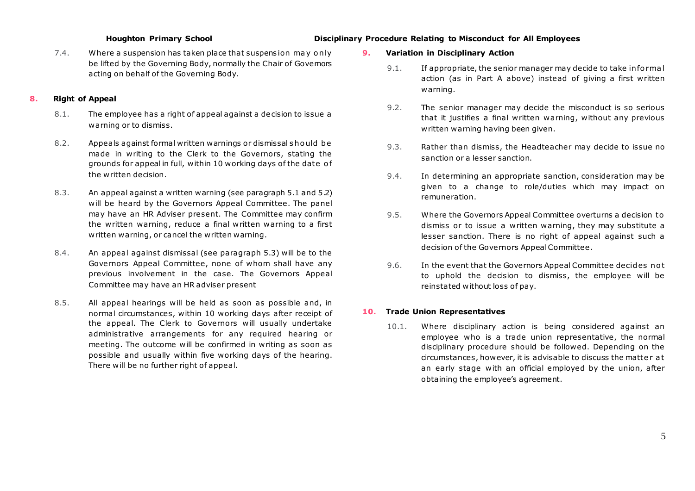## **Houghton Primary School Disciplinary Procedure Relating to Misconduct for All Employees**

7.4. Where a suspension has taken place that suspens ion ma y o nly be lifted by the Governing Body, normally the Chair of Governors acting on behalf of the Governing Body.

### **8. Right of Appeal**

- 8.1. The employee has a right of appeal against a decision to issue a warning or to dismiss.
- 8.2. Appeals against formal written warnings or dismissal s ho uld b e made in writing to the Clerk to the Governors, stating the grounds for appeal in full, within 10 working days of the date of the written decision.
- 8.3. An appeal against a written warning (see paragraph 5.1 and 5.2) will be heard by the Governors Appeal Committee. The panel may have an HR Adviser present. The Committee may confirm the written warning, reduce a final written warning to a first written warning, or cancel the written warning.
- 8.4. An appeal against dismissal (see paragraph 5.3) will be to the Governors Appeal Committee, none of whom shall have any previous involvement in the case. The Governors Appeal Committee may have an HR adviser present
- 8.5. All appeal hearings will be held as soon as possible and, in normal circumstances, within 10 working days after receipt of the appeal. The Clerk to Governors will usually undertake administrative arrangements for any required hearing or meeting. The outcome will be confirmed in writing as soon as possible and usually within five working days of the hearing. There will be no further right of appeal.

### **9. Variation in Disciplinary Action**

- 9.1. If appropriate, the senior manager may decide to take informal action (as in Part A above) instead of giving a first written warning.
- 9.2. The senior manager may decide the misconduct is so serious that it justifies a final written warning, without any previous written warning having been given.
- 9.3. Rather than dismiss, the Headteacher may decide to issue no sanction or a lesser sanction.
- 9.4. In determining an appropriate sanction, consideration may be given to a change to role/duties which may impact on remuneration.
- 9.5. Where the Governors Appeal Committee overturns a decision to dismiss or to issue a written warning, they may substitute a lesser sanction. There is no right of appeal against such a decision of the Governors Appeal Committee.
- 9.6. In the event that the Governors Appeal Committee decides not to uphold the decision to dismiss, the employee will be reinstated without loss of pay.

# **10. Trade Union Representatives**

10.1. Where disciplinary action is being considered against an employee who is a trade union representative, the normal disciplinary procedure should be followed. Depending on the circumstances, however, it is advisable to discuss the matte r a t an early stage with an official employed by the union, after obtaining the employee's agreement.